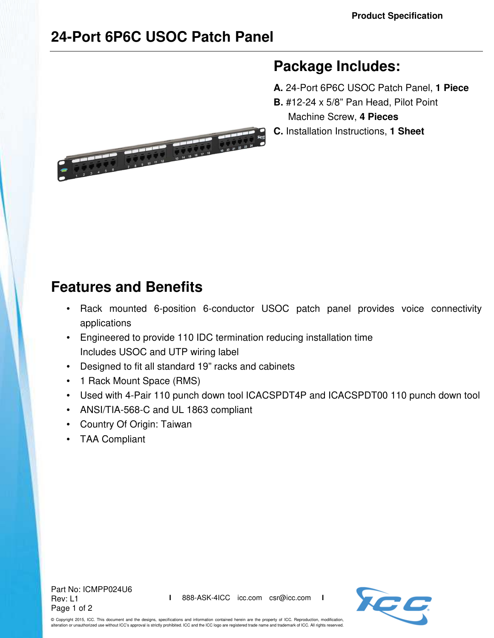## **24-Port 6P6C USOC Patch Panel**



## **Package Includes:**

- **A.** 24-Port 6P6C USOC Patch Panel, **1 Piece**
- **B.** #12-24 x 5/8" Pan Head, Pilot Point

Machine Screw, **4 Pieces**

**C.** Installation Instructions, **1 Sheet**

## **Features and Benefits**

- Rack mounted 6-position 6-conductor USOC patch panel provides voice connectivity applications
- Engineered to provide 110 IDC termination reducing installation time Includes USOC and UTP wiring label
- Designed to fit all standard 19" racks and cabinets
- 1 Rack Mount Space (RMS)
- Used with 4-Pair 110 punch down tool ICACSPDT4P and ICACSPDT00 110 punch down tool
- ANSI/TIA-568-C and UL 1863 compliant
- Country Of Origin: Taiwan
- TAA Compliant

Part No: ICMPP024U6 Rev: L1 Page 1 of 2



© Copyright 2015, ICC. This document and the designs, specifications and information contained herein are the property of ICC. Reproduction, modification, alteration or unauthorized use without ICC's approval is strictly prohibited. ICC and the ICC logo are registered trade name and trademark of ICC. All rights reserved.